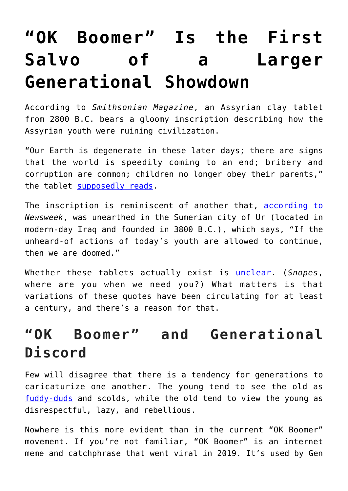# **["OK Boomer" Is the First](https://intellectualtakeout.org/2019/11/ok-boomer-is-the-first-salvo-of-a-larger-generational-showdown/)** [Salvo of a Larger](https://intellectualtakeout.org/2019/11/ok-boomer-is-the-first-salvo-of-a-larger-generational-showdown/) **[Generational Showdown](https://intellectualtakeout.org/2019/11/ok-boomer-is-the-first-salvo-of-a-larger-generational-showdown/)**

According to *Smithsonian Magazine*, an Assyrian clay tablet from 2800 B.C. bears a gloomy inscription describing how the Assyrian youth were ruining civilization.

"Our Earth is degenerate in these later days; there are signs that the world is speedily coming to an end; bribery and corruption are common; children no longer obey their parents," the tablet [supposedly reads.](https://www.smithsonianmag.com/history/ten-notable-apocalypses-that-obviously-didnt-happen-9126331/)

The inscription is reminiscent of another that, [according to](https://www.newsweek.com/girls-gone-bad-celebs-and-kids-104717) *Newsweek*, was unearthed in the Sumerian city of Ur (located in modern-day Iraq and founded in 3800 B.C.), which says, "If the unheard-of actions of today's youth are allowed to continue, then we are doomed."

Whether these tablets actually exist is [unclear](https://quoteinvestigator.com/2012/10/22/world-end/). (*Snopes*, where are you when we need you?) What matters is that variations of these quotes have been circulating for at least a century, and there's a reason for that.

## **"OK Boomer" and Generational Discord**

Few will disagree that there is a tendency for generations to caricaturize one another. The young tend to see the old as [fuddy-duds](https://en.wikipedia.org/wiki/Fuddy-duddy) and scolds, while the old tend to view the young as disrespectful, lazy, and rebellious.

Nowhere is this more evident than in the current "OK Boomer" movement. If you're not familiar, "OK Boomer" is an internet meme and catchphrase that went viral in 2019. It's used by Gen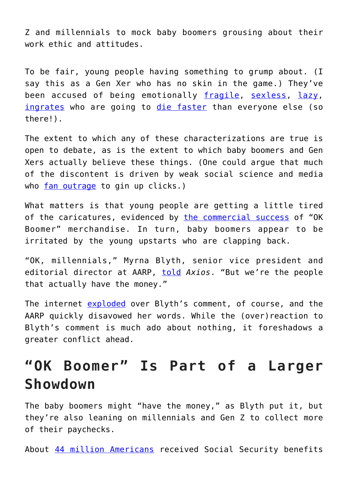Z and millennials to mock baby boomers grousing about their work ethic and attitudes.

To be fair, young people having something to grump about. (I say this as a Gen Xer who has no skin in the game.) They've been accused of being emotionally [fragile,](https://reason.com/2017/10/26/the-fragile-generation/) [sexless](https://nationalpost.com/opinion/why-millennials-arent-having-sex), [lazy,](https://nypost.com/2019/03/12/why-lazy-entitled-millennials-cant-last-90-days-at-work/) [ingrates](https://fee.org/articles/college-student-my-generation-is-blind-to-the-prosperity-around-us/) who are going to [die faster](https://www.businessinsider.com/millennials-gen-x-mortality-rate-mental-health-depression-2019-11) than everyone else (so there!).

The extent to which any of these characterizations are true is open to debate, as is the extent to which baby boomers and Gen Xers actually believe these things. (One could argue that much of the discontent is driven by weak social science and media who [fan outrage](https://www.csmonitor.com/Technology/2017/0922/How-digital-media-fuels-moral-outrage-and-what-to-do-about-it) to gin up clicks.)

What matters is that young people are getting a little tired of the caricatures, evidenced by [the commercial success](https://nypost.com/2019/10/30/gen-z-is-making-bank-off-their-baby-boomer-anger-with-ok-boomer/) of "OK Boomer" merchandise. In turn, baby boomers appear to be irritated by the young upstarts who are clapping back.

"OK, millennials," Myrna Blyth, senior vice president and editorial director at AARP, [told](https://www.marketwatch.com/story/aarp-exec-ok-millennials-were-the-people-that-actually-have-the-money-2019-11-13) *Axios*. "But we're the people that actually have the money."

The internet [exploded](https://www.google.com/search?safe=active&sxsrf=ACYBGNSIuy2ELFA9eMiLdcMdnt_lVmW5Ig%3A1573769948174&source=hp&ei=3NLNXcWpB-Kl_QbVhpho&q=%22OK%2C+millennials.+But+we%27re+the+people+that+actually+have+the+money%2C%22+&oq=%22OK%2C+millennials.+But+we%27re+the+people+that+actually+have+the+money%2C%22+&gs_l=psy-ab.3...186.186..590...0.0..0.125.125.0j1......0....2j1..gws-wiz.EZ1dAjy8xPI&ved=0ahUKEwjFh9313erlAhXiUt8KHVUDBg0Q4dUDCAg&uact=5) over Blyth's comment, of course, and the AARP quickly disavowed her words. While the (over) reaction to Blyth's comment is much ado about nothing, it foreshadows a greater conflict ahead.

#### **"OK Boomer" Is Part of a Larger Showdown**

The baby boomers might "have the money," as Blyth put it, but they're also leaning on millennials and Gen Z to collect more of their paychecks.

About [44 million Americans](https://www.statista.com/statistics/194295/number-of-us-retired-workers-who-receive-social-security/) received Social Security benefits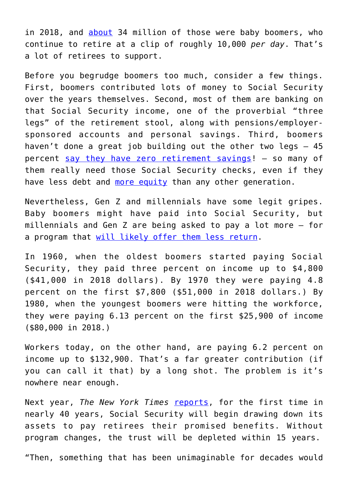in 2018, and [about](https://www.cnbc.com/2019/04/09/baby-boomers-face-retirement-crisis-little-savings-high-health-costs-and-unrealistic-expectations.html) 34 million of those were baby boomers, who continue to retire at a clip of roughly 10,000 *per day*. That's a lot of retirees to support.

Before you begrudge boomers too much, consider a few things. First, boomers contributed lots of money to Social Security over the years themselves. Second, most of them are banking on that Social Security income, one of the proverbial "three legs" of the retirement stool, along with pensions/employersponsored accounts and personal savings. Third, boomers haven't done a great job building out the other two legs – 45 percent [say they have zero retirement savings!](https://www.investopedia.com/articles/personal-finance/032216/are-we-baby-boomer-retirement-crisis.asp) – so many of them really need those Social Security checks, even if they have less debt and [more equity](https://markets.businessinsider.com/news/stocks/top-10-baby-boomer-exposed-stock-picks-according-to-bofa-2019-10-1028594704#chemed-residential-aged-care-1) than any other generation.

Nevertheless, Gen Z and millennials have some legit gripes. Baby boomers might have paid into Social Security, but millennials and Gen Z are being asked to pay a lot more – for a program that [will likely offer them less return.](https://www.senate.gov/reference/resources/pdf/NationalCommissiononFiscalResponsibilityandReform_Dec012010.pdf)

In 1960, when the oldest boomers started paying Social Security, they paid three percent on income up to \$4,800 (\$41,000 in 2018 dollars). By 1970 they were paying 4.8 percent on the first \$7,800 (\$51,000 in 2018 dollars.) By 1980, when the youngest boomers were hitting the workforce, they were paying 6.13 percent on the first \$25,900 of income (\$80,000 in 2018.)

Workers today, on the other hand, are paying 6.2 percent on income up to \$132,900. That's a far greater contribution (if you can call it that) by a long shot. The problem is it's nowhere near enough.

Next year, *The New York Times* [reports,](https://www.nytimes.com/2019/06/12/business/social-security-shortfall-2020.html) for the first time in nearly 40 years, Social Security will begin drawing down its assets to pay retirees their promised benefits. Without program changes, the trust will be depleted within 15 years.

"Then, something that has been unimaginable for decades would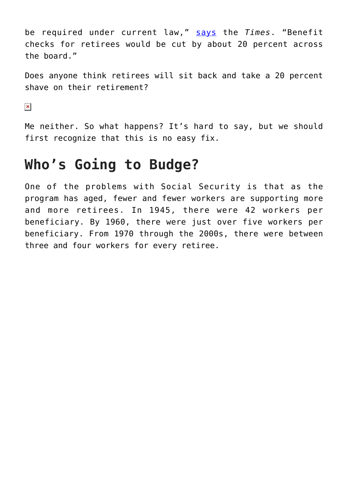be required under current law," [says](https://www.nytimes.com/2019/06/12/business/social-security-shortfall-2020.html) the *Times*. "Benefit checks for retirees would be cut by about 20 percent across the board."

Does anyone think retirees will sit back and take a 20 percent shave on their retirement?

 $\pmb{\times}$ 

Me neither. So what happens? It's hard to say, but we should first recognize that this is no easy fix.

### **Who's Going to Budge?**

One of the problems with Social Security is that as the program has aged, fewer and fewer workers are supporting more and more retirees. In 1945, there were 42 workers per beneficiary. By 1960, there were just over five workers per beneficiary. From 1970 through the 2000s, there were between three and four workers for every retiree.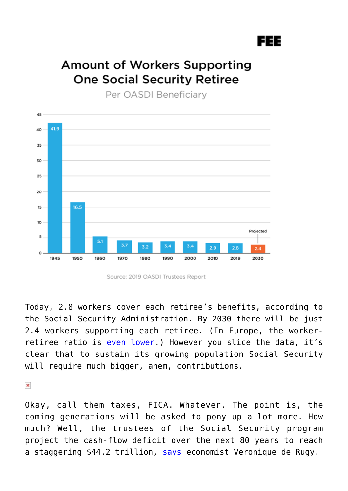#### 3EE

#### **Amount of Workers Supporting One Social Security Retiree**

Per OASDI Beneficiary



Source: 2019 OASDI Trustees Report

Today, 2.8 workers cover each retiree's benefits, according to the Social Security Administration. By 2030 there will be just 2.4 workers supporting each retiree. (In Europe, the workerretiree ratio is [even lower.](http://yaleglobal.yale.edu/sites/default/files/images/2015/12/chamieTable-2.jpg)) However you slice the data, it's clear that to sustain its growing population Social Security will require much bigger, ahem, contributions.

 $\pmb{\times}$ 

Okay, call them taxes, FICA. Whatever. The point is, the coming generations will be asked to pony up a lot more. How much? Well, the trustees of the Social Security program project the cash-flow deficit over the next 80 years to reach a staggering \$44.2 trillion, [says e](https://reason.com/2018/01/15/start-saving-now-because-socia/)conomist Veronique de Rugy.